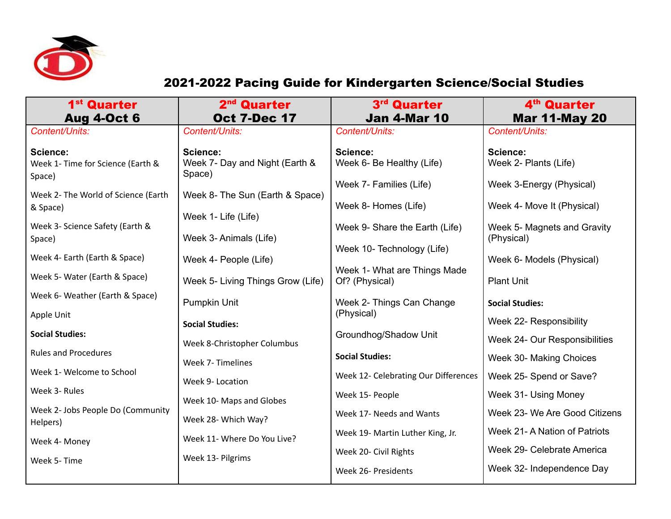

## 2021-2022 Pacing Guide for Kindergarten Science/Social Studies

| 1 <sup>st</sup> Quarter<br><b>Aug 4-Oct 6</b>           | 2 <sup>nd</sup> Quarter<br><b>Oct 7-Dec 17</b>         | 3 <sup>rd</sup> Quarter<br><b>Jan 4-Mar 10</b>               | 4 <sup>th</sup> Quarter<br><b>Mar 11-May 20</b>        |
|---------------------------------------------------------|--------------------------------------------------------|--------------------------------------------------------------|--------------------------------------------------------|
| Content/Units:                                          | Content/Units:                                         | Content/Units:                                               | Content/Units:                                         |
| Science:<br>Week 1- Time for Science (Earth &<br>Space) | Science:<br>Week 7- Day and Night (Earth &<br>Space)   | Science:<br>Week 6- Be Healthy (Life)                        | Science:<br>Week 2- Plants (Life)                      |
| Week 2- The World of Science (Earth<br>& Space)         | Week 8- The Sun (Earth & Space)<br>Week 1- Life (Life) | Week 7- Families (Life)<br>Week 8- Homes (Life)              | Week 3-Energy (Physical)<br>Week 4- Move It (Physical) |
| Week 3- Science Safety (Earth &<br>Space)               | Week 3- Animals (Life)                                 | Week 9- Share the Earth (Life)<br>Week 10- Technology (Life) | Week 5- Magnets and Gravity<br>(Physical)              |
| Week 4- Earth (Earth & Space)                           | Week 4- People (Life)                                  |                                                              | Week 6- Models (Physical)                              |
| Week 5- Water (Earth & Space)                           | Week 5- Living Things Grow (Life)                      | Week 1- What are Things Made<br>Of? (Physical)               | <b>Plant Unit</b>                                      |
| Week 6- Weather (Earth & Space)                         | Pumpkin Unit                                           | Week 2- Things Can Change                                    | <b>Social Studies:</b>                                 |
| Apple Unit                                              | <b>Social Studies:</b>                                 | (Physical)                                                   | Week 22- Responsibility                                |
| <b>Social Studies:</b>                                  | Week 8-Christopher Columbus                            | Groundhog/Shadow Unit                                        | Week 24- Our Responsibilities                          |
| <b>Rules and Procedures</b>                             | Week 7- Timelines                                      | <b>Social Studies:</b>                                       | Week 30- Making Choices                                |
| Week 1- Welcome to School                               | Week 9- Location                                       | Week 12- Celebrating Our Differences                         | Week 25- Spend or Save?                                |
| Week 3- Rules                                           | Week 10- Maps and Globes                               | Week 15- People                                              | Week 31- Using Money                                   |
| Week 2- Jobs People Do (Community<br>Helpers)           | Week 28- Which Way?                                    | Week 17- Needs and Wants                                     | Week 23- We Are Good Citizens                          |
| Week 4- Money                                           | Week 11- Where Do You Live?                            | Week 19- Martin Luther King, Jr.                             | Week 21- A Nation of Patriots                          |
| Week 5- Time                                            | Week 13- Pilgrims                                      | Week 20- Civil Rights                                        | Week 29- Celebrate America                             |
|                                                         |                                                        | Week 26- Presidents                                          | Week 32- Independence Day                              |